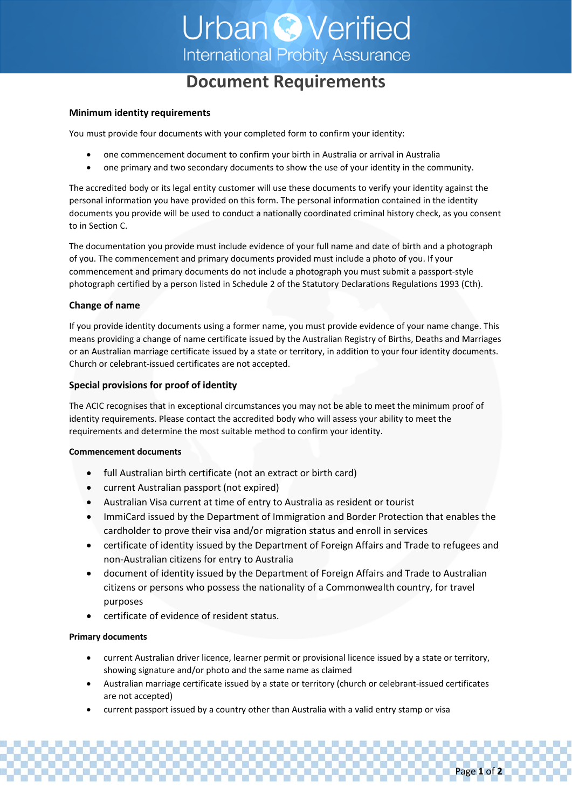# **Urban © Verified International Probity Assurance**

# **Document Requirements**

#### **Minimum identity requirements**

You must provide four documents with your completed form to confirm your identity:

- one commencement document to confirm your birth in Australia or arrival in Australia
- one primary and two secondary documents to show the use of your identity in the community.

The accredited body or its legal entity customer will use these documents to verify your identity against the personal information you have provided on this form. The personal information contained in the identity documents you provide will be used to conduct a nationally coordinated criminal history check, as you consent to in Section C.

The documentation you provide must include evidence of your full name and date of birth and a photograph of you. The commencement and primary documents provided must include a photo of you. If your commencement and primary documents do not include a photograph you must submit a passport‐style photograph certified by a person listed in Schedule 2 of the Statutory Declarations Regulations 1993 (Cth).

### **Change of name**

If you provide identity documents using a former name, you must provide evidence of your name change. This means providing a change of name certificate issued by the Australian Registry of Births, Deaths and Marriages or an Australian marriage certificate issued by a state or territory, in addition to your four identity documents. Church or celebrant‐issued certificates are not accepted.

## **Special provisions for proof of identity**

The ACIC recognises that in exceptional circumstances you may not be able to meet the minimum proof of identity requirements. Please contact the accredited body who will assess your ability to meet the requirements and determine the most suitable method to confirm your identity.

#### **Commencement documents**

- full Australian birth certificate (not an extract or birth card)
- current Australian passport (not expired)
- Australian Visa current at time of entry to Australia as resident or tourist
- ImmiCard issued by the Department of Immigration and Border Protection that enables the cardholder to prove their visa and/or migration status and enroll in services
- certificate of identity issued by the Department of Foreign Affairs and Trade to refugees and non‐Australian citizens for entry to Australia
- document of identity issued by the Department of Foreign Affairs and Trade to Australian citizens or persons who possess the nationality of a Commonwealth country, for travel purposes
- certificate of evidence of resident status.

## **Primary documents**

- current Australian driver licence, learner permit or provisional licence issued by a state or territory, showing signature and/or photo and the same name as claimed
- Australian marriage certificate issued by a state or territory (church or celebrant‐issued certificates are not accepted)
- current passport issued by a country other than Australia with a valid entry stamp or visa